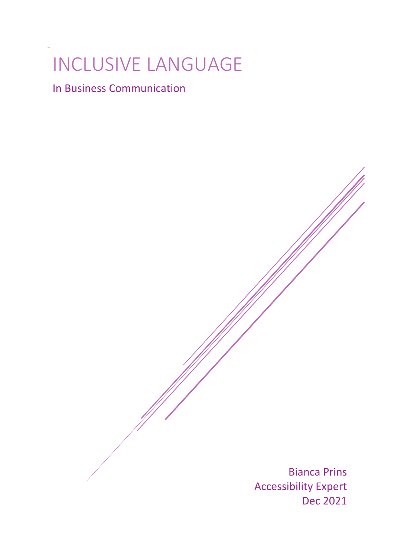# INCLUSIVE LANGUAGE

In Business Communication

Bianca Prins Accessibility Expert Dec 2021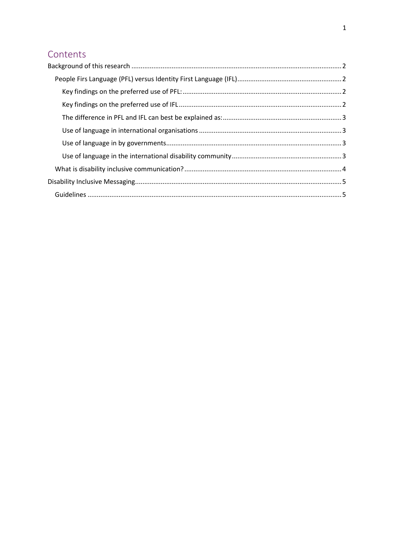## Contents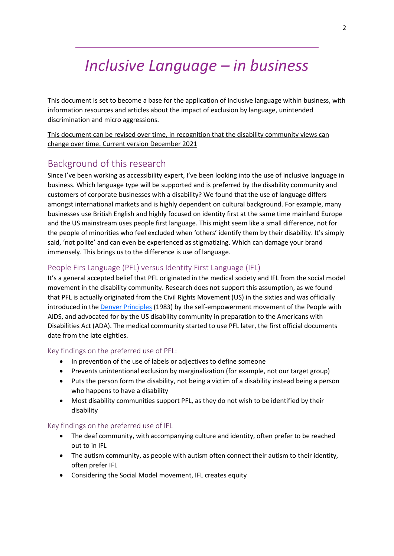## *Inclusive Language – in business*

This document is set to become a base for the application of inclusive language within business, with information resources and articles about the impact of exclusion by language, unintended discrimination and micro aggressions.

This document can be revised over time, in recognition that the disability community views can change over time. Current version December 2021

### <span id="page-2-0"></span>Background of this research

Since I've been working as accessibility expert, I've been looking into the use of inclusive language in business. Which language type will be supported and is preferred by the disability community and customers of corporate businesses with a disability? We found that the use of language differs amongst international markets and is highly dependent on cultural background. For example, many businesses use British English and highly focused on identity first at the same time mainland Europe and the US mainstream uses people first language. This might seem like a small difference, not for the people of minorities who feel excluded when 'others' identify them by their disability. It's simply said, 'not polite' and can even be experienced as stigmatizing. Which can damage your brand immensely. This brings us to the difference is use of language.

#### <span id="page-2-1"></span>People Firs Language (PFL) versus Identity First Language (IFL)

It's a general accepted belief that PFL originated in the medical society and IFL from the social model movement in the disability community. Research does not support this assumption, as we found that PFL is actually originated from the Civil Rights Movement (US) in the sixties and was officially introduced in the **Denver Principles** (1983) by the self-empowerment movement of the People with AIDS, and advocated for by the US disability community in preparation to the Americans with Disabilities Act (ADA). The medical community started to use PFL later, the first official documents date from the late eighties.

#### <span id="page-2-2"></span>Key findings on the preferred use of PFL:

- In prevention of the use of labels or adjectives to define someone
- Prevents unintentional exclusion by marginalization (for example, not our target group)
- Puts the person form the disability, not being a victim of a disability instead being a person who happens to have a disability
- Most disability communities support PFL, as they do not wish to be identified by their disability

#### <span id="page-2-3"></span>Key findings on the preferred use of IFL

- The deaf community, with accompanying culture and identity, often prefer to be reached out to in IFL
- The autism community, as people with autism often connect their autism to their identity, often prefer IFL
- Considering the Social Model movement, IFL creates equity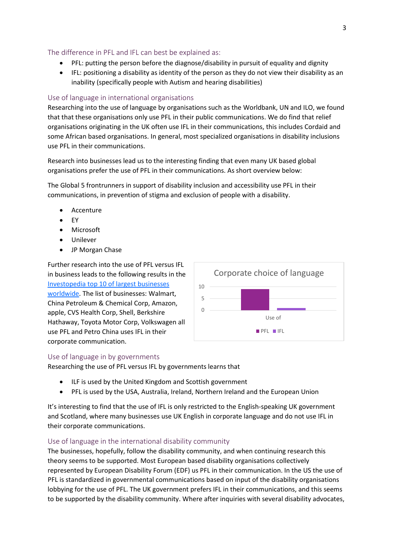#### <span id="page-3-0"></span>The difference in PFL and IFL can best be explained as:

- PFL: putting the person before the diagnose/disability in pursuit of equality and dignity
- IFL: positioning a disability as identity of the person as they do not view their disability as an inability (specifically people with Autism and hearing disabilities)

#### <span id="page-3-1"></span>Use of language in international organisations

Researching into the use of language by organisations such as the Worldbank, UN and ILO, we found that that these organisations only use PFL in their public communications. We do find that relief organisations originating in the UK often use IFL in their communications, this includes Cordaid and some African based organisations. In general, most specialized organisations in disability inclusions use PFL in their communications.

Research into businesses lead us to the interesting finding that even many UK based global organisations prefer the use of PFL in their communications. As short overview below:

The Global 5 frontrunners in support of disability inclusion and accessibility use PFL in their communications, in prevention of stigma and exclusion of people with a disability.

- **Accenture**
- EY
- Microsoft
- Unilever
- JP Morgan Chase

Further research into the use of PFL versus IFL in business leads to the following results in the [Investopedia top 10 of largest businesses](https://www.investopedia.com/articles/active-trading/111115/why-all-worlds-top-10-companies-are-american.asp)  [worldwide.](https://www.investopedia.com/articles/active-trading/111115/why-all-worlds-top-10-companies-are-american.asp) The list of businesses: Walmart, China Petroleum & Chemical Corp, Amazon, apple, CVS Health Corp, Shell, Berkshire Hathaway, Toyota Motor Corp, Volkswagen all use PFL and Petro China uses IFL in their corporate communication.

#### <span id="page-3-2"></span>Use of language in by governments

Researching the use of PFL versus IFL by governments learns that

- ILF is used by the United Kingdom and Scottish government
- PFL is used by the USA, Australia, Ireland, Northern Ireland and the European Union

It's interesting to find that the use of IFL is only restricted to the English-speaking UK government and Scotland, where many businesses use UK English in corporate language and do not use IFL in their corporate communications.

#### <span id="page-3-3"></span>Use of language in the international disability community

The businesses, hopefully, follow the disability community, and when continuing research this theory seems to be supported. Most European based disability organisations collectively represented by European Disability Forum (EDF) us PFL in their communication. In the US the use of PFL is standardized in governmental communications based on input of the disability organisations lobbying for the use of PFL. The UK government prefers IFL in their communications, and this seems to be supported by the disability community. Where after inquiries with several disability advocates,

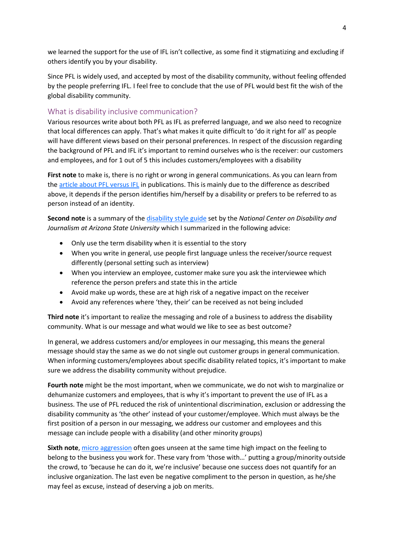we learned the support for the use of IFL isn't collective, as some find it stigmatizing and excluding if others identify you by your disability.

Since PFL is widely used, and accepted by most of the disability community, without feeling offended by the people preferring IFL. I feel free to conclude that the use of PFL would best fit the wish of the global disability community.

#### <span id="page-4-0"></span>What is disability inclusive communication?

Various resources write about both PFL as IFL as preferred language, and we also need to recognize that local differences can apply. That's what makes it quite difficult to 'do it right for all' as people will have different views based on their personal preferences. In respect of the discussion regarding the background of PFL and IFL it's important to remind ourselves who is the receiver: our customers and employees, and for 1 out of 5 this includes customers/employees with a disability

**First note** to make is, there is no right or wrong in general communications. As you can learn from th[e article about PFL versus IFL](https://healthjournalism.org/blog/2019/07/identity-first-vs-person-first-language-is-an-important-distinction/) in publications. This is mainly due to the difference as described above, it depends if the person identifies him/herself by a disability or prefers to be referred to as person instead of an identity.

**Second note** is a summary of th[e disability style guide](https://ncdj.org/style-guide/) set by the *National Center on Disability and Journalism at Arizona State University* which I summarized in the following advice:

- Only use the term disability when it is essential to the story
- When you write in general, use people first language unless the receiver/source request differently (personal setting such as interview)
- When you interview an employee, customer make sure you ask the interviewee which reference the person prefers and state this in the article
- Avoid make up words, these are at high risk of a negative impact on the receiver
- Avoid any references where 'they, their' can be received as not being included

**Third note** it's important to realize the messaging and role of a business to address the disability community. What is our message and what would we like to see as best outcome?

In general, we address customers and/or employees in our messaging, this means the general message should stay the same as we do not single out customer groups in general communication. When informing customers/employees about specific disability related topics, it's important to make sure we address the disability community without prejudice.

**Fourth note** might be the most important, when we communicate, we do not wish to marginalize or dehumanize customers and employees, that is why it's important to prevent the use of IFL as a business. The use of PFL reduced the risk of unintentional discrimination, exclusion or addressing the disability community as 'the other' instead of your customer/employee. Which must always be the first position of a person in our messaging, we address our customer and employees and this message can include people with a disability (and other minority groups)

**Sixth note**[, micro aggression](https://dileaders.com/blog/workplace-microaggressions-did-you-really-just-say-that/) often goes unseen at the same time high impact on the feeling to belong to the business you work for. These vary from 'those with…' putting a group/minority outside the crowd, to 'because he can do it, we're inclusive' because one success does not quantify for an inclusive organization. The last even be negative compliment to the person in question, as he/she may feel as excuse, instead of deserving a job on merits.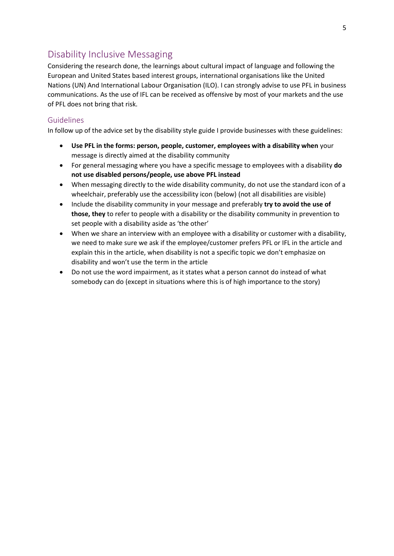## <span id="page-5-0"></span>Disability Inclusive Messaging

Considering the research done, the learnings about cultural impact of language and following the European and United States based interest groups, international organisations like the United Nations (UN) And International Labour Organisation (ILO). I can strongly advise to use PFL in business communications. As the use of IFL can be received as offensive by most of your markets and the use of PFL does not bring that risk.

#### <span id="page-5-1"></span>Guidelines

In follow up of the advice set by the disability style guide I provide businesses with these guidelines:

- **Use PFL in the forms: person, people, customer, employees with a disability when** your message is directly aimed at the disability community
- For general messaging where you have a specific message to employees with a disability **do not use disabled persons/people, use above PFL instead**
- When messaging directly to the wide disability community, do not use the standard icon of a wheelchair, preferably use the accessibility icon (below) (not all disabilities are visible)
- Include the disability community in your message and preferably **try to avoid the use of those, they** to refer to people with a disability or the disability community in prevention to set people with a disability aside as 'the other'
- When we share an interview with an employee with a disability or customer with a disability, we need to make sure we ask if the employee/customer prefers PFL or IFL in the article and explain this in the article, when disability is not a specific topic we don't emphasize on disability and won't use the term in the article
- Do not use the word impairment, as it states what a person cannot do instead of what somebody can do (except in situations where this is of high importance to the story)